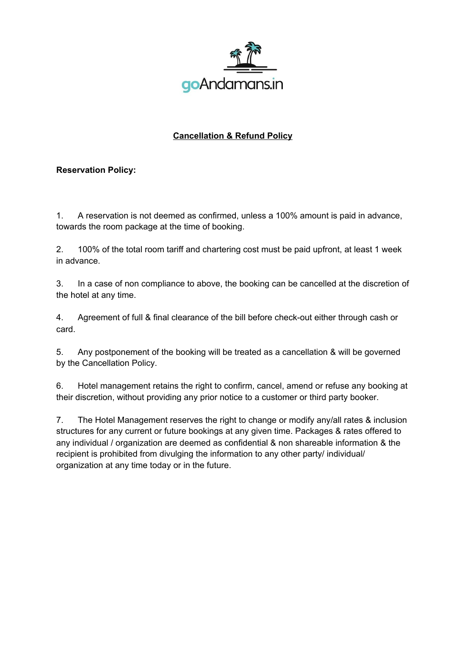

## **Cancellation & Refund Policy**

## **Reservation Policy:**

1. A reservation is not deemed as confirmed, unless a 100% amount is paid in advance, towards the room package at the time of booking.

2. 100% of the total room tariff and chartering cost must be paid upfront, at least 1 week in advance.

3. In a case of non compliance to above, the booking can be cancelled at the discretion of the hotel at any time.

4. Agreement of full & final clearance of the bill before check-out either through cash or card.

5. Any postponement of the booking will be treated as a cancellation & will be governed by the Cancellation Policy.

6. Hotel management retains the right to confirm, cancel, amend or refuse any booking at their discretion, without providing any prior notice to a customer or third party booker.

7. The Hotel Management reserves the right to change or modify any/all rates & inclusion structures for any current or future bookings at any given time. Packages & rates offered to any individual / organization are deemed as confidential & non shareable information & the recipient is prohibited from divulging the information to any other party/ individual/ organization at any time today or in the future.